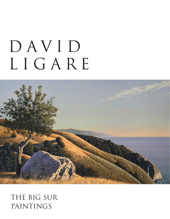# DAVID LIGARE



#### THE BIG SUR PAINTINGS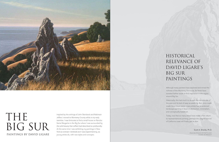#### HISTORICAL RELEVANCE OF DAVID LIGARE'S BIG SUR PAINTINGS

Although many painters have explored and mined the richness of the Monterey Peninsula, far fewer have traveled farther south to find inspiration in the region around Big Sur.

Historically, this had much to do with the remoteness of the area and its lack of easy accessibility. But, once roads made travel there easier, many artists had abandoned landscape painting in favor of abstraction, minimalism, and conceptually based art.

Today, now that so many artists have made a firm return to representational painting, perhaps this magnificent bit of California coast will finally get its due.

Inspired by the writings of John Steinbeck and Robinson Jeffers I moved to Monterey County while in my early twenties. I was fortunate to find a small house on Rancho Santa Margarita in the Big Sur where I was surrounded by the wild beauty that Jeffers had described so profoundly. At the same time I was exhibiting my paintings in New York (a contrast I relished) and I was experimenting, as young artists do, with new styles and concepts.



## THE BIG SUR PAINTINGS BY DAVID LIGARE

Scott A. Shields, Ph.D.

*Associate Director & Chief Curator Crocker Art Museum*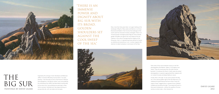Now, more than forty years later, I am again looking at the landscape of Big Sur. Many styles and fashions in art have bloomed and faded in that time but the landscape of the south coast has remained virtually unchanged. There is an immense power and dignity about Big Sur with its broad, golden shoulders set against the cool sweep of the sea. I believe in the value of recognizing the integrity of the thing seen, that is, in representing every element of nature as carefully and reverently as I can. In certain respects this attention to detail and place is reminiscent of the New



Path artists of the mid-nineteenth century or the f64 photographers like Weston, Adams, Cunningham and others. They all turned away from the artful and the "painterly" to embrace the literal. In both cases the artists/ photographers in question approached their subjects with an insistent honesty and deep fidelity to nature.



"THERE IS AN IMMENSE POWER AND DIGNITY ABOUT BIG SUR WITH ITS BROAD, GOLDEN SHOULDERS SET AGAINST THE COOL SWEEP OF THE SEA."

> Finally, there is the light. To see and to present the Big Sur in the intense golden light of the late afternoon is to celebrate the great beauty that burns there. Every hill, copse of trees, ragged stone or spread of sea is bathed, molded and carved by the light. Time stands still and it is that exact timelessness—without the qualifier of human activity or artistic style—that interests me.

Inspired by the writings of John Steinbeck and Robinson Jeffers I moved to Monterey County while in my early twenties. I was fortunate to find a small house on Rancho Santa Margarita in the Big Sur where I was surrounded by the wild beauty that Jeffers had described so profoundly. At the same time I was exhibiting my paintings in New York (a contrast I relished) and I was experimenting, as



### DAVID LIGARE

## THE BIG SUR PAINTINGS BY DAVID LIGARE